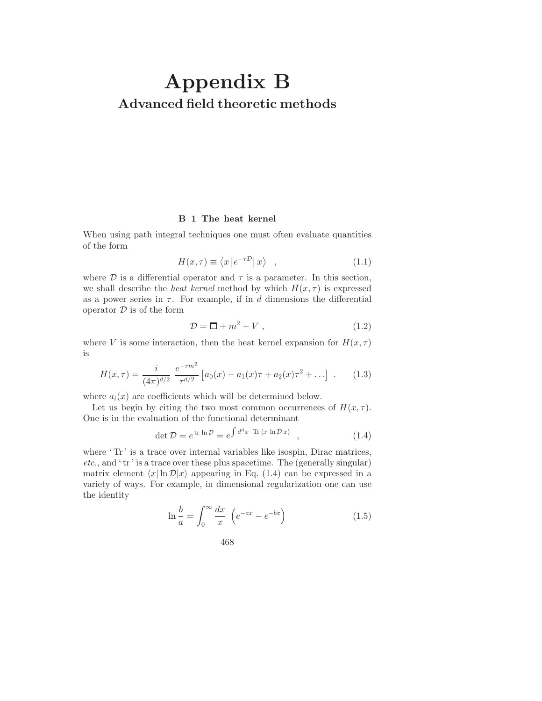## **Appendix B Advanced field theoretic methods**

## **B–1 The heat kernel**

When using path integral techniques one must often evaluate quantities of the form

$$
H(x,\tau) \equiv \langle x \left| e^{-\tau \mathcal{D}} \right| x \rangle \quad , \tag{1.1}
$$

where  $D$  is a differential operator and  $\tau$  is a parameter. In this section, we shall describe the *heat kernel* method by which  $H(x, \tau)$  is expressed as a power series in  $\tau$ . For example, if in d dimensions the differential operator  $\mathcal D$  is of the form

$$
\mathcal{D} = \Box + m^2 + V \,,\tag{1.2}
$$

where V is some interaction, then the heat kernel expansion for  $H(x, \tau)$ is

$$
H(x,\tau) = \frac{i}{(4\pi)^{d/2}} \frac{e^{-\tau m^2}}{\tau^{d/2}} \left[ a_0(x) + a_1(x)\tau + a_2(x)\tau^2 + \ldots \right] \ . \tag{1.3}
$$

where  $a_i(x)$  are coefficients which will be determined below.

Let us begin by citing the two most common occurrences of  $H(x, \tau)$ . One is in the evaluation of the functional determinant

$$
\det \mathcal{D} = e^{\operatorname{tr} \ln \mathcal{D}} = e^{\int d^4 x \operatorname{Tr} \langle x | \ln \mathcal{D} | x \rangle}, \qquad (1.4)
$$

where 'Tr' is a trace over internal variables like isospin, Dirac matrices,  $etc.,$  and  $'$ tr' is a trace over these plus spacetime. The (generally singular) matrix element  $\langle x | \ln \mathcal{D} | x \rangle$  appearing in Eq. (1.4) can be expressed in a variety of ways. For example, in dimensional regularization one can use the identity

$$
\ln \frac{b}{a} = \int_0^\infty \frac{dx}{x} \left( e^{-ax} - e^{-bx} \right) \tag{1.5}
$$

$$
468 \\
$$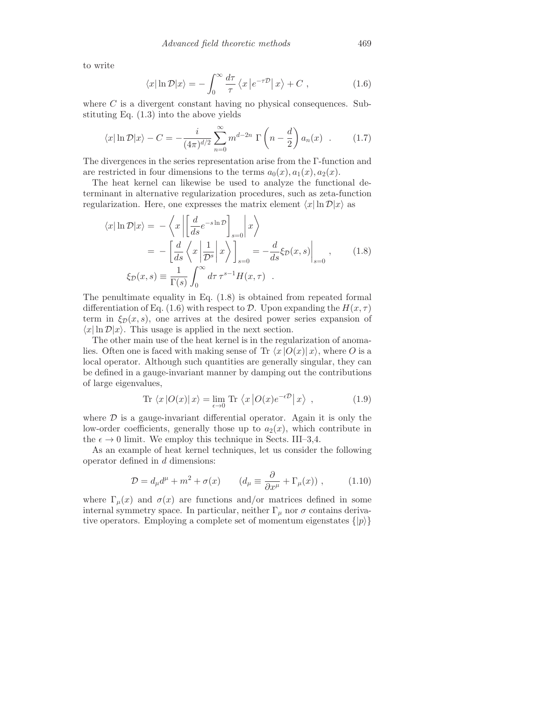to write

$$
\langle x|\ln \mathcal{D}|x\rangle = -\int_0^\infty \frac{d\tau}{\tau} \langle x|e^{-\tau \mathcal{D}}|x\rangle + C , \qquad (1.6)
$$

where  $C$  is a divergent constant having no physical consequences. Substituting Eq. (1.3) into the above yields

$$
\langle x | \ln \mathcal{D} | x \rangle - C = -\frac{i}{(4\pi)^{d/2}} \sum_{n=0}^{\infty} m^{d-2n} \Gamma \left( n - \frac{d}{2} \right) a_n(x) . \tag{1.7}
$$

The divergences in the series representation arise from the Γ-function and are restricted in four dimensions to the terms  $a_0(x), a_1(x), a_2(x)$ .

The heat kernel can likewise be used to analyze the functional determinant in alternative regularization procedures, such as zeta-function regularization. Here, one expresses the matrix element  $\langle x| \ln \mathcal{D} |x \rangle$  as

$$
\langle x | \ln \mathcal{D} | x \rangle = -\left\langle x \left| \left[ \frac{d}{ds} e^{-s \ln \mathcal{D}} \right]_{s=0} \right| x \right\rangle
$$
  
=  $-\left[ \frac{d}{ds} \left\langle x \left| \frac{1}{\mathcal{D}^s} \right| x \right\rangle \right]_{s=0} = -\frac{d}{ds} \xi_{\mathcal{D}}(x, s) \Big|_{s=0},$  (1.8)  

$$
\xi_{\mathcal{D}}(x, s) \equiv \frac{1}{\Gamma(s)} \int_0^\infty d\tau \, \tau^{s-1} H(x, \tau) .
$$

The penultimate equality in Eq. (1.8) is obtained from repeated formal differentiation of Eq. (1.6) with respect to D. Upon expanding the  $H(x, \tau)$ term in  $\xi_{\mathcal{D}}(x, s)$ , one arrives at the desired power series expansion of  $\langle x | \ln \mathcal{D} | x \rangle$ . This usage is applied in the next section.

The other main use of the heat kernel is in the regularization of anomalies. Often one is faced with making sense of Tr  $\langle x | O(x) | x \rangle$ , where O is a local operator. Although such quantities are generally singular, they can be defined in a gauge-invariant manner by damping out the contributions of large eigenvalues,

$$
\text{Tr}\,\left\langle x\left|O(x)\right|x\right\rangle = \lim_{\epsilon \to 0} \text{Tr}\,\left\langle x\left|O(x)e^{-\epsilon D}\right|x\right\rangle ,\qquad (1.9)
$$

where  $\mathcal D$  is a gauge-invariant differential operator. Again it is only the low-order coefficients, generally those up to  $a_2(x)$ , which contribute in the  $\epsilon \to 0$  limit. We employ this technique in Sects. III–3,4.

As an example of heat kernel techniques, let us consider the following operator defined in d dimensions:

$$
\mathcal{D} = d_{\mu}d^{\mu} + m^2 + \sigma(x) \qquad (d_{\mu} \equiv \frac{\partial}{\partial x^{\mu}} + \Gamma_{\mu}(x)), \qquad (1.10)
$$

where  $\Gamma_{\mu}(x)$  and  $\sigma(x)$  are functions and/or matrices defined in some internal symmetry space. In particular, neither  $\Gamma_{\mu}$  nor  $\sigma$  contains derivative operators. Employing a complete set of momentum eigenstates  $\{|p\rangle\}$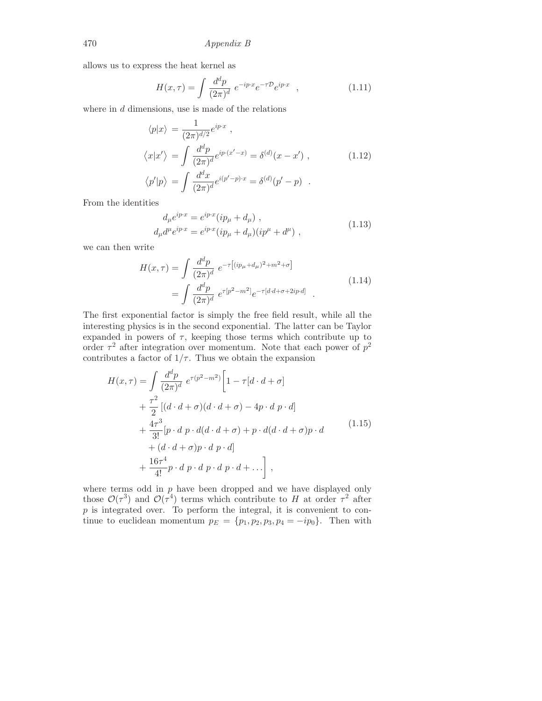allows us to express the heat kernel as

$$
H(x,\tau) = \int \frac{d^d p}{(2\pi)^d} \ e^{-ip\cdot x} e^{-\tau \mathcal{D}} e^{ip\cdot x} \quad , \tag{1.11}
$$

where in  $d$  dimensions, use is made of the relations

$$
\langle p|x\rangle = \frac{1}{(2\pi)^{d/2}} e^{ip\cdot x},
$$
  

$$
\langle x|x'\rangle = \int \frac{d^d p}{(2\pi)^d} e^{ip\cdot (x'-x)} = \delta^{(d)}(x-x'),
$$
  

$$
\langle p'|p\rangle = \int \frac{d^d x}{(2\pi)^d} e^{i(p'-p)\cdot x} = \delta^{(d)}(p'-p) .
$$
 (1.12)

From the identities

$$
d_{\mu}e^{ip\cdot x} = e^{ip\cdot x}(ip_{\mu} + d_{\mu}),d_{\mu}d^{\mu}e^{ip\cdot x} = e^{ip\cdot x}(ip_{\mu} + d_{\mu})(ip^{\mu} + d^{\mu}),
$$
\n(1.13)

we can then write

$$
H(x,\tau) = \int \frac{d^d p}{(2\pi)^d} e^{-\tau \left[ (ip_\mu + d_\mu)^2 + m^2 + \sigma \right]}
$$
  
= 
$$
\int \frac{d^d p}{(2\pi)^d} e^{\tau [p^2 - m^2]} e^{-\tau [d \cdot d + \sigma + 2ip \cdot d]}
$$
 (1.14)

The first exponential factor is simply the free field result, while all the interesting physics is in the second exponential. The latter can be Taylor expanded in powers of  $\tau$ , keeping those terms which contribute up to order  $\tau^2$  after integration over momentum. Note that each power of  $p^2$ contributes a factor of  $1/\tau$ . Thus we obtain the expansion

$$
H(x,\tau) = \int \frac{d^d p}{(2\pi)^d} e^{\tau(p^2 - m^2)} \left[ 1 - \tau [d \cdot d + \sigma] \right.+ \frac{\tau^2}{2} \left[ (d \cdot d + \sigma)(d \cdot d + \sigma) - 4p \cdot d \, p \cdot d \right.+ \frac{4\tau^3}{3!} [p \cdot d \, p \cdot d(d \cdot d + \sigma) + p \cdot d(d \cdot d + \sigma) p \cdot d \right.+ (d \cdot d + \sigma) p \cdot d \, p \cdot d] + \frac{16\tau^4}{4!} p \cdot d \, p \cdot d \, p \cdot d \, p \cdot d + \ldots \right],
$$
 (1.15)

where terms odd in  $p$  have been dropped and we have displayed only those  $\mathcal{O}(\tau^3)$  and  $\mathcal{O}(\tau^4)$  terms which contribute to H at order  $\tau^2$  after  $p$  is integrated over. To perform the integral, it is convenient to continue to euclidean momentum  $p_E = \{p_1, p_2, p_3, p_4 = -ip_0\}$ . Then with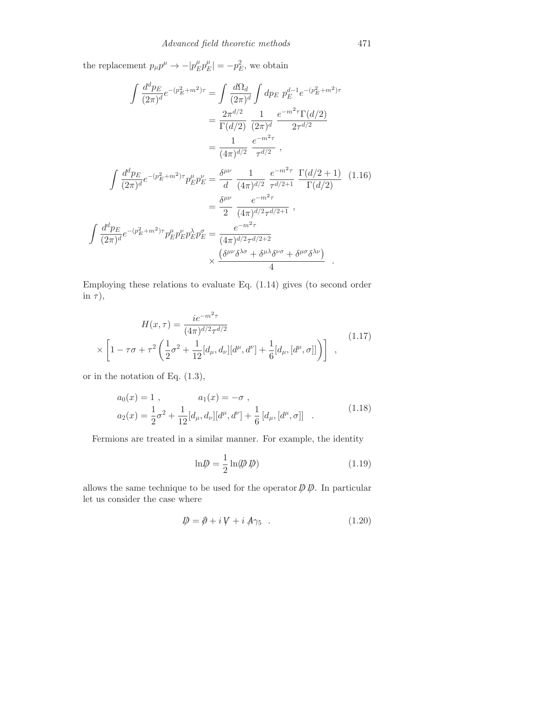the replacement  $p_{\mu}p^{\mu} \rightarrow -|p_{E}^{\mu}p_{E}^{\mu}| = -p_{E}^{2}$ , we obtain

$$
\int \frac{d^d p_E}{(2\pi)^d} e^{-(p_E^2 + m^2)\tau} = \int \frac{d\Omega_d}{(2\pi)^d} \int dp_E \ p_E^{d-1} e^{-(p_E^2 + m^2)\tau}
$$

$$
= \frac{2\pi^{d/2}}{\Gamma(d/2)} \frac{1}{(2\pi)^d} \frac{e^{-m^2\tau} \Gamma(d/2)}{2\tau^{d/2}}
$$

$$
= \frac{1}{(4\pi)^{d/2}} \frac{e^{-m^2\tau}}{\tau^{d/2}},
$$

$$
\int \frac{d^d p_E}{(2\pi)^d} e^{-(p_E^2 + m^2)\tau} p_E^{\mu} p_E^{\nu} = \frac{\delta^{\mu\nu}}{d} \frac{1}{(4\pi)^{d/2}} \frac{e^{-m^2\tau}}{\tau^{d/2+1}} \frac{\Gamma(d/2+1)}{\Gamma(d/2)} \quad (1.16)
$$

$$
= \frac{\delta^{\mu\nu}}{2} \frac{e^{-m^2\tau}}{(4\pi)^{d/2}\tau^{d/2+1}},
$$

$$
\int \frac{d^d p_E}{(2\pi)^d} e^{-(p_E^2 + m^2)\tau} p_E^{\mu} p_E^{\nu} p_E^{\lambda} p_E^{\sigma} = \frac{e^{-m^2\tau}}{(4\pi)^{d/2}\tau^{d/2+2}} \times \frac{(\delta^{\mu\nu}\delta^{\lambda\sigma} + \delta^{\mu\lambda}\delta^{\nu\sigma} + \delta^{\mu\sigma}\delta^{\lambda\nu})}{4}.
$$

Employing these relations to evaluate Eq. (1.14) gives (to second order in  $\tau$ ),

$$
H(x,\tau) = \frac{ie^{-m^2\tau}}{(4\pi)^{d/2}\tau^{d/2}} \times \left[1 - \tau\sigma + \tau^2 \left(\frac{1}{2}\sigma^2 + \frac{1}{12}[d_\mu, d_\nu][d^\mu, d^\nu] + \frac{1}{6}[d_\mu, [d^\mu, \sigma]]\right)\right] \quad , \tag{1.17}
$$

or in the notation of Eq. (1.3),

$$
a_0(x) = 1, \t a_1(x) = -\sigma,
$$
  
\n
$$
a_2(x) = \frac{1}{2}\sigma^2 + \frac{1}{12}[d_\mu, d_\nu][d^\mu, d^\nu] + \frac{1}{6}[d_\mu, [d^\mu, \sigma]]
$$
\n(1.18)

Fermions are treated in a similar manner. For example, the identity

$$
\ln \psi = \frac{1}{2} \ln(\psi \, \psi) \tag{1.19}
$$

allows the same technique to be used for the operator  $\not\!\!\!D \not\!\!\!D$ . In particular let us consider the case where

$$
\mathcal{D} = \partial + i V + i A \gamma_5 \quad . \tag{1.20}
$$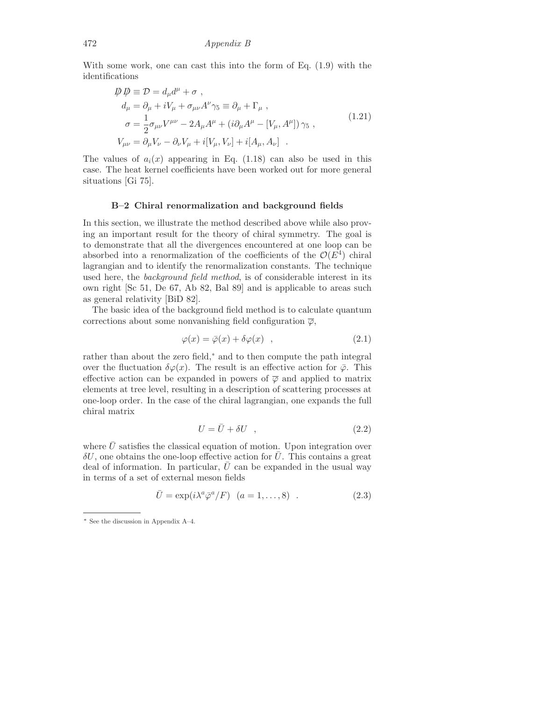With some work, one can cast this into the form of Eq. (1.9) with the identifications

$$
\begin{aligned}\n\mathcal{D} \,\mathcal{D} &\equiv \mathcal{D} = d_{\mu}d^{\mu} + \sigma \;, \\
d_{\mu} &= \partial_{\mu} + iV_{\mu} + \sigma_{\mu\nu}A^{\nu}\gamma_{5} \equiv \partial_{\mu} + \Gamma_{\mu} \;, \\
\sigma &= \frac{1}{2}\sigma_{\mu\nu}V^{\mu\nu} - 2A_{\mu}A^{\mu} + (i\partial_{\mu}A^{\mu} - [V_{\mu}, A^{\mu}])\,\gamma_{5} \;, \\
V_{\mu\nu} &= \partial_{\mu}V_{\nu} - \partial_{\nu}V_{\mu} + i[V_{\mu}, V_{\nu}] + i[A_{\mu}, A_{\nu}] \ .\n\end{aligned} \tag{1.21}
$$

The values of  $a_i(x)$  appearing in Eq. (1.18) can also be used in this case. The heat kernel coefficients have been worked out for more general situations [Gi 75].

## **B–2 Chiral renormalization and background fields**

In this section, we illustrate the method described above while also proving an important result for the theory of chiral symmetry. The goal is to demonstrate that all the divergences encountered at one loop can be absorbed into a renormalization of the coefficients of the  $\mathcal{O}(E^4)$  chiral lagrangian and to identify the renormalization constants. The technique used here, the *background field method*, is of considerable interest in its own right [Sc 51, De 67, Ab 82, Bal 89] and is applicable to areas such as general relativity [BiD 82].

The basic idea of the background field method is to calculate quantum corrections about some nonvanishing field configuration  $\overline{\varphi}$ ,

$$
\varphi(x) = \bar{\varphi}(x) + \delta\varphi(x) \quad , \tag{2.1}
$$

rather than about the zero field,∗ and to then compute the path integral over the fluctuation  $\delta\varphi(x)$ . The result is an effective action for  $\bar{\varphi}$ . This effective action can be expanded in powers of  $\overline{\varphi}$  and applied to matrix elements at tree level, resulting in a description of scattering processes at one-loop order. In the case of the chiral lagrangian, one expands the full chiral matrix

$$
U = \bar{U} + \delta U \quad , \tag{2.2}
$$

where  $U$  satisfies the classical equation of motion. Upon integration over  $\delta U$ , one obtains the one-loop effective action for  $\overline{U}$ . This contains a great deal of information. In particular,  $\overline{U}$  can be expanded in the usual way in terms of a set of external meson fields

$$
\bar{U} = \exp(i\lambda^a \bar{\varphi}^a / F) \quad (a = 1, \dots, 8) \quad . \tag{2.3}
$$

<sup>∗</sup> See the discussion in Appendix A–4.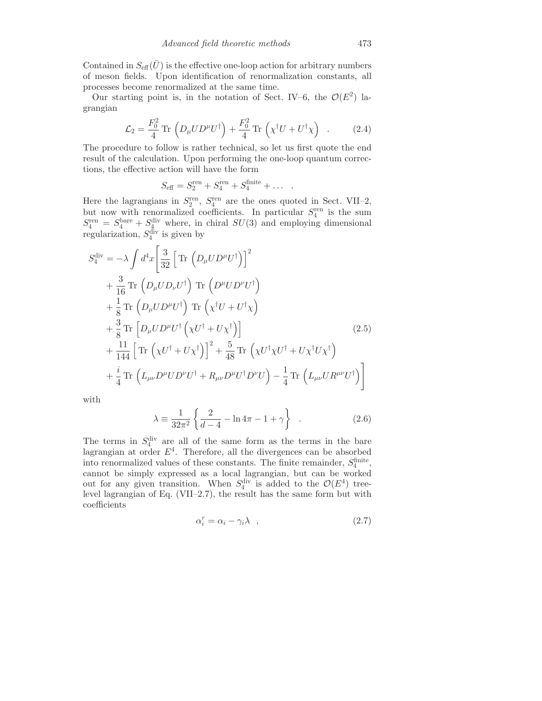Contained in  $S_{\text{eff}}(\bar{U})$  is the effective one-loop action for arbitrary numbers of meson fields. Upon identification of renormalization constants, all processes become renormalized at the same time.

Our starting point is, in the notation of Sect. IV–6, the  $\mathcal{O}(E^2)$  lagrangian

$$
\mathcal{L}_2 = \frac{F_0^2}{4} \operatorname{Tr} \left( D_\mu U D^\mu U^\dagger \right) + \frac{F_0^2}{4} \operatorname{Tr} \left( \chi^\dagger U + U^\dagger \chi \right) \quad . \tag{2.4}
$$

The procedure to follow is rather technical, so let us first quote the end result of the calculation. Upon performing the one-loop quantum corrections, the effective action will have the form

$$
S_{\text{eff}} = S_2^{\text{ren}} + S_4^{\text{ren}} + S_4^{\text{finite}} + \dots
$$

Here the lagrangians in  $S_2^{\text{ren}}$ ,  $S_4^{\text{ren}}$  are the ones quoted in Sect. VII–2, but now with renormalized coefficients. In particular  $S_4^{\text{ren}}$  is the sum  $S_4^{\text{ren}} = S_4^{\text{bare}} + S_4^{\text{div}}$  where, in chiral  $SU(3)$  and employing dimensional regularization,  $S_4^{\text{div}}$  is given by

$$
S_4^{\text{div}} = -\lambda \int d^4x \left[ \frac{3}{32} \left[ \text{Tr} \left( D_\mu U D^\mu U^\dagger \right) \right]^2
$$
  
+  $\frac{3}{16} \text{Tr} \left( D_\mu U D_\nu U^\dagger \right) \text{Tr} \left( D^\mu U D^\nu U^\dagger \right)$   
+  $\frac{1}{8} \text{Tr} \left( D_\mu U D^\mu U^\dagger \right) \text{Tr} \left( \chi^\dagger U + U^\dagger \chi \right)$   
+  $\frac{3}{8} \text{Tr} \left[ D_\mu U D^\mu U^\dagger \left( \chi U^\dagger + U \chi^\dagger \right) \right]$  (2.5)  
+  $\frac{11}{144} \left[ \text{Tr} \left( \chi U^\dagger + U \chi^\dagger \right) \right]^2 + \frac{5}{48} \text{Tr} \left( \chi U^\dagger \chi U^\dagger + U \chi^\dagger U \chi^\dagger \right)$   
+  $\frac{i}{4} \text{Tr} \left( L_{\mu\nu} D^\mu U D^\nu U^\dagger + R_{\mu\nu} D^\mu U^\dagger D^\nu U \right) - \frac{1}{4} \text{Tr} \left( L_{\mu\nu} U R^{\mu\nu} U^\dagger \right)$ 

with

$$
\lambda = \frac{1}{32\pi^2} \left\{ \frac{2}{d-4} - \ln 4\pi - 1 + \gamma \right\} .
$$
 (2.6)

The terms in  $S_4^{\text{div}}$  are all of the same form as the terms in the bare lagrangian at order  $E^4$ . Therefore, all the divergences can be absorbed into renormalized values of these constants. The finite remainder,  $S_4^{\text{finite}}$ , cannot be simply expressed as a local lagrangian, but can be worked out for any given transition. When  $S_4^{\text{div}}$  is added to the  $\mathcal{O}(E^4)$  tree-<br>level lagrangian of Eq. (VII–2.7), the result has the same form but with coefficients

$$
\alpha_i^r = \alpha_i - \gamma_i \lambda \quad , \tag{2.7}
$$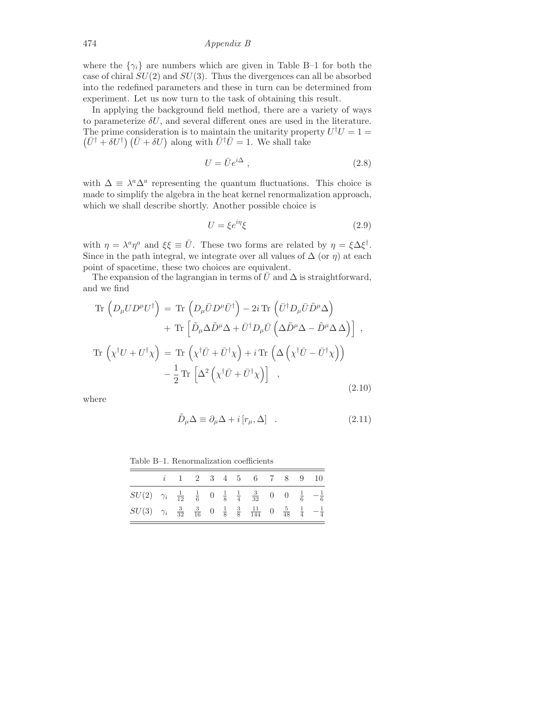474 Appendix B

where the  $\{\gamma_i\}$  are numbers which are given in Table B-1 for both the case of chiral  $SU(2)$  and  $SU(3)$ . Thus the divergences can all be absorbed into the redefined parameters and these in turn can be determined from experiment. Let us now turn to the task of obtaining this result.

In applying the background field method, there are a variety of ways to parameterize  $\delta U$ , and several different ones are used in the literature. The prime consideration is to maintain the unitarity property  $U^{\dagger}U = 1 =$  $(\bar{U}^{\dagger} + \delta U^{\dagger}) (\bar{U} + \delta U)$  along with  $\bar{U}^{\dagger} \bar{U} = 1$ . We shall take

$$
U = \bar{U}e^{i\Delta} \t{,} \t(2.8)
$$

with  $\Delta \equiv \lambda^a \Delta^a$  representing the quantum fluctuations. This choice is made to simplify the algebra in the heat kernel renormalization approach, which we shall describe shortly. Another possible choice is

$$
U = \xi e^{i\eta} \xi \tag{2.9}
$$

with  $\eta = \lambda^a \eta^a$  and  $\xi \xi \equiv \bar{U}$ . These two forms are related by  $\eta = \xi \Delta \xi^{\dagger}$ . Since in the path integral, we integrate over all values of  $\Delta$  (or  $\eta$ ) at each point of spacetime, these two choices are equivalent.

The expansion of the lagrangian in terms of  $\bar{U}$  and  $\Delta$  is straightforward, and we find

$$
\operatorname{Tr}\left(D_{\mu}UD^{\mu}U^{\dagger}\right) = \operatorname{Tr}\left(D_{\mu}\bar{U}D^{\mu}\bar{U}^{\dagger}\right) - 2i \operatorname{Tr}\left(\bar{U}^{\dagger}D_{\mu}\bar{U}\tilde{D}^{\mu}\Delta\right) \n+ \operatorname{Tr}\left[\tilde{D}_{\mu}\Delta\tilde{D}^{\mu}\Delta + \bar{U}^{\dagger}D_{\mu}\bar{U}\left(\Delta\tilde{D}^{\mu}\Delta - \tilde{D}^{\mu}\Delta\Delta\right)\right],
$$
\n
$$
\operatorname{Tr}\left(\chi^{\dagger}U + U^{\dagger}\chi\right) = \operatorname{Tr}\left(\chi^{\dagger}\bar{U} + \bar{U}^{\dagger}\chi\right) + i \operatorname{Tr}\left(\Delta\left(\chi^{\dagger}\bar{U} - \bar{U}^{\dagger}\chi\right)\right) \n- \frac{1}{2}\operatorname{Tr}\left[\Delta^{2}\left(\chi^{\dagger}\bar{U} + \bar{U}^{\dagger}\chi\right)\right],
$$
\n(2.10)

where

$$
\tilde{D}_{\mu}\Delta \equiv \partial_{\mu}\Delta + i[r_{\mu}, \Delta] \quad . \tag{2.11}
$$

Table B–1. Renormalization coefficients

|                                                                                                                                               |  |  |  | $i$ 1 2 3 4 5 6 7 8 9 10 |  |  |
|-----------------------------------------------------------------------------------------------------------------------------------------------|--|--|--|--------------------------|--|--|
| $SU(2)$ $\gamma_i$ $\frac{1}{12}$ $\frac{1}{6}$ 0 $\frac{1}{8}$ $\frac{1}{4}$ $\frac{3}{32}$ 0 0 $\frac{1}{6}$ $-\frac{1}{6}$                 |  |  |  |                          |  |  |
| $SU(3)$ $\gamma_i$ $\frac{3}{32}$ $\frac{3}{16}$ 0 $\frac{1}{8}$ $\frac{3}{8}$ $\frac{11}{144}$ 0 $\frac{5}{48}$ $\frac{1}{4}$ $-\frac{1}{4}$ |  |  |  |                          |  |  |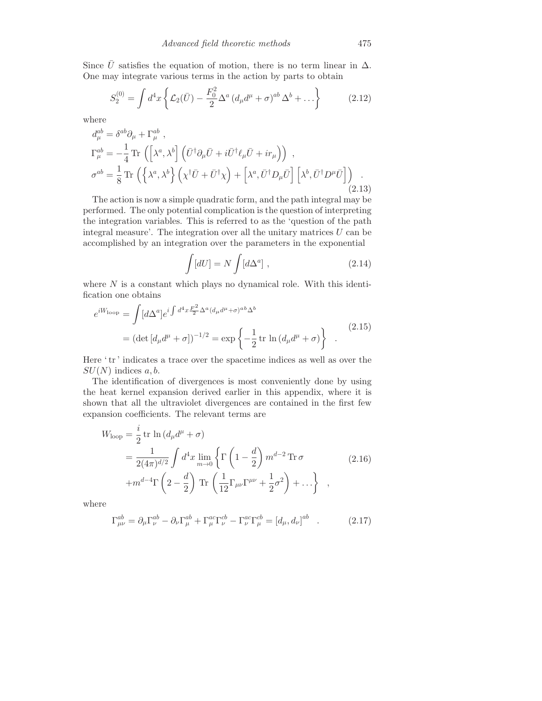Since  $\bar{U}$  satisfies the equation of motion, there is no term linear in  $\Delta$ . One may integrate various terms in the action by parts to obtain

$$
S_2^{(0)} = \int d^4x \left\{ \mathcal{L}_2(\bar{U}) - \frac{F_0^2}{2} \Delta^a \left( d_\mu d^\mu + \sigma \right)^{ab} \Delta^b + \ldots \right\} \tag{2.12}
$$

where

$$
d_{\mu}^{ab} = \delta^{ab}\partial_{\mu} + \Gamma_{\mu}^{ab} ,
$$
  
\n
$$
\Gamma_{\mu}^{ab} = -\frac{1}{4} \text{Tr} \left( \left[ \lambda^{a}, \lambda^{b} \right] \left( \bar{U}^{\dagger} \partial_{\mu} \bar{U} + i \bar{U}^{\dagger} \ell_{\mu} \bar{U} + ir_{\mu} \right) \right) ,
$$
  
\n
$$
\sigma^{ab} = \frac{1}{8} \text{Tr} \left( \left\{ \lambda^{a}, \lambda^{b} \right\} \left( \chi^{\dagger} \bar{U} + \bar{U}^{\dagger} \chi \right) + \left[ \lambda^{a}, \bar{U}^{\dagger} D_{\mu} \bar{U} \right] \left[ \lambda^{b}, \bar{U}^{\dagger} D^{\mu} \bar{U} \right] \right) .
$$
\n(2.13)

The action is now a simple quadratic form, and the path integral may be performed. The only potential complication is the question of interpreting the integration variables. This is referred to as the 'question of the path integral measure'. The integration over all the unitary matrices  $U$  can be accomplished by an integration over the parameters in the exponential

$$
\int [dU] = N \int [d\Delta^a] \;, \tag{2.14}
$$

where  $N$  is a constant which plays no dynamical role. With this identification one obtains

$$
e^{iW_{\text{loop}}} = \int [d\Delta^a] e^{i \int d^4x \frac{F^2}{2} \Delta^a (d_\mu d^\mu + \sigma)^{ab} \Delta^b}
$$
  
= 
$$
(\det [d_\mu d^\mu + \sigma])^{-1/2} = \exp \left\{-\frac{1}{2} \operatorname{tr} \ln (d_\mu d^\mu + \sigma)\right\} .
$$
 (2.15)

Here 'tr' indicates a trace over the spacetime indices as well as over the  $SU(N)$  indices a, b.

The identification of divergences is most conveniently done by using the heat kernel expansion derived earlier in this appendix, where it is shown that all the ultraviolet divergences are contained in the first few expansion coefficients. The relevant terms are

$$
W_{\text{loop}} = \frac{i}{2} \text{tr} \ln \left( d_{\mu} d^{\mu} + \sigma \right)
$$
  
= 
$$
\frac{1}{2(4\pi)^{d/2}} \int d^4 x \lim_{m \to 0} \left\{ \Gamma \left( 1 - \frac{d}{2} \right) m^{d-2} \text{Tr} \sigma \right\}
$$
  
+ 
$$
m^{d-4} \Gamma \left( 2 - \frac{d}{2} \right) \text{Tr} \left( \frac{1}{12} \Gamma_{\mu\nu} \Gamma^{\mu\nu} + \frac{1}{2} \sigma^2 \right) + \dots \right\} ,
$$
 (2.16)

where

$$
\Gamma_{\mu\nu}^{ab} = \partial_{\mu}\Gamma_{\nu}^{ab} - \partial_{\nu}\Gamma_{\mu}^{ab} + \Gamma_{\mu}^{ac}\Gamma_{\nu}^{cb} - \Gamma_{\nu}^{ac}\Gamma_{\mu}^{cb} = [d_{\mu}, d_{\nu}]^{ab} \quad . \tag{2.17}
$$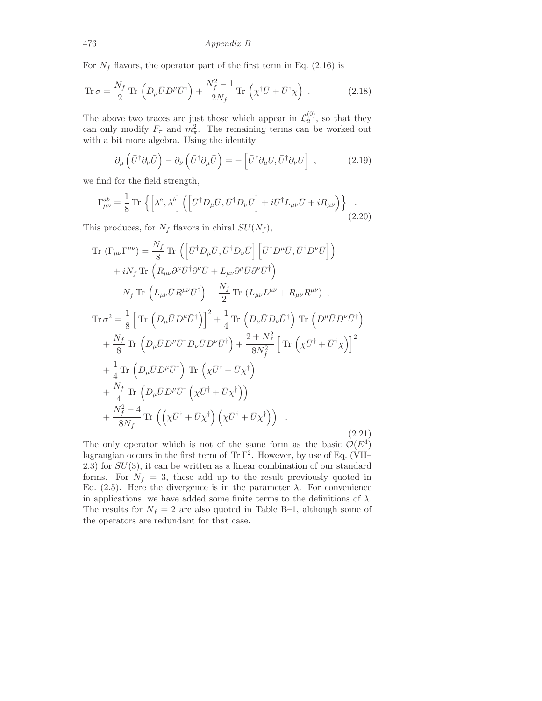476 Appendix B

For  $N_f$  flavors, the operator part of the first term in Eq. (2.16) is

$$
\operatorname{Tr} \sigma = \frac{N_f}{2} \operatorname{Tr} \left( D_\mu \bar{U} D^\mu \bar{U}^\dagger \right) + \frac{N_f^2 - 1}{2N_f} \operatorname{Tr} \left( \chi^\dagger \bar{U} + \bar{U}^\dagger \chi \right) \,. \tag{2.18}
$$

The above two traces are just those which appear in  $\mathcal{L}_2^{(0)}$ , so that they can only modify  $F_{\pi}$  and  $m_{\pi}^2$ . The remaining terms can be worked out with a bit more algebra. Using the identity

$$
\partial_{\mu} \left( \bar{U}^{\dagger} \partial_{\nu} \bar{U} \right) - \partial_{\nu} \left( \bar{U}^{\dagger} \partial_{\mu} \bar{U} \right) = - \left[ \bar{U}^{\dagger} \partial_{\mu} U, \bar{U}^{\dagger} \partial_{\nu} U \right] , \qquad (2.19)
$$

we find for the field strength,

$$
\Gamma_{\mu\nu}^{ab} = \frac{1}{8} \operatorname{Tr} \left\{ \left[ \lambda^a, \lambda^b \right] \left( \left[ \bar{U}^\dagger D_\mu \bar{U}, \bar{U}^\dagger D_\nu \bar{U} \right] + i \bar{U}^\dagger L_{\mu\nu} \bar{U} + i R_{\mu\nu} \right) \right\} \tag{2.20}
$$

This produces, for  $N_f$  flavors in chiral  $SU(N_f)$ ,

Tr 
$$
(\Gamma_{\mu\nu}\Gamma^{\mu\nu}) = \frac{N_f}{8}
$$
 Tr  $(\left[\bar{U}^{\dagger}D_{\mu}\bar{U}, \bar{U}^{\dagger}D_{\nu}\bar{U}\right] \left[\bar{U}^{\dagger}D^{\mu}\bar{U}, \bar{U}^{\dagger}D^{\nu}\bar{U}\right]$   
\n $+ iN_f$  Tr  $(R_{\mu\nu}\partial^{\mu}\bar{U}^{\dagger}\partial^{\nu}\bar{U} + L_{\mu\nu}\partial^{\mu}\bar{U}\partial^{\nu}\bar{U}^{\dagger})$   
\n $- N_f$  Tr  $(L_{\mu\nu}\bar{U}R^{\mu\nu}\bar{U}^{\dagger}) - \frac{N_f}{2}$  Tr  $(L_{\mu\nu}L^{\mu\nu} + R_{\mu\nu}R^{\mu\nu})$ ,  
\nTr  $\sigma^2 = \frac{1}{8}\left[\text{Tr}\left(D_{\mu}\bar{U}D^{\mu}\bar{U}^{\dagger}\right)\right]^2 + \frac{1}{4}\text{Tr}\left(D_{\mu}\bar{U}D_{\nu}\bar{U}^{\dagger}\right)\text{Tr}\left(D^{\mu}\bar{U}D^{\nu}\bar{U}^{\dagger}\right)$   
\n $+ \frac{N_f}{8}\text{Tr}\left(D_{\mu}\bar{U}D^{\mu}\bar{U}^{\dagger}D_{\nu}\bar{U}D^{\nu}\bar{U}^{\dagger}\right) + \frac{2 + N_f^2}{8N_f^2}\left[\text{Tr}\left(\chi\bar{U}^{\dagger} + \bar{U}^{\dagger}\chi\right)\right]^2$   
\n $+ \frac{1}{4}\text{Tr}\left(D_{\mu}\bar{U}D^{\mu}\bar{U}^{\dagger}\right)\text{Tr}\left(\chi\bar{U}^{\dagger} + \bar{U}\chi^{\dagger}\right)$   
\n $+ \frac{N_f}{4}\text{Tr}\left(D_{\mu}\bar{U}D^{\mu}\bar{U}^{\dagger}\left(\chi\bar{U}^{\dagger} + \bar{U}\chi^{\dagger}\right)\right)$   
\n $+ \frac{N_f^2 - 4}{8N_f}\text{Tr}\left(\left(\chi\bar{U}^{\dagger} + \bar{U}\chi^{\dagger}\right)\left(\chi\bar{U}^{\dagger} + \bar{U}\chi^{\dagger}\$ 

The only operator which is not of the same form as the basic  $\mathcal{O}(E^4)$ lagrangian occurs in the first term of Tr  $\Gamma^2$ . However, by use of Eq. (VII–  $2.3$ ) for  $SU(3)$ , it can be written as a linear combination of our standard forms. For  $N_f = 3$ , these add up to the result previously quoted in Eq. (2.5). Here the divergence is in the parameter  $\lambda$ . For convenience in applications, we have added some finite terms to the definitions of  $\lambda$ . The results for  $N_f = 2$  are also quoted in Table B-1, although some of the operators are redundant for that case.